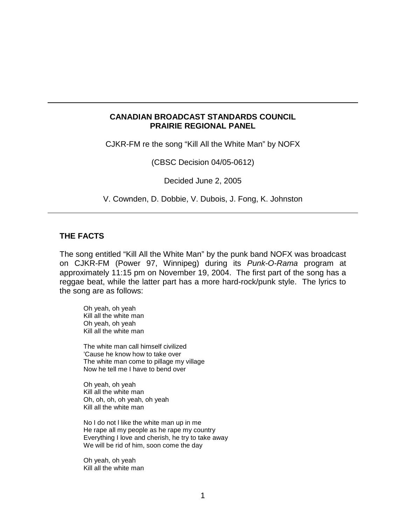# **CANADIAN BROADCAST STANDARDS COUNCIL PRAIRIE REGIONAL PANEL**

CJKR-FM re the song "Kill All the White Man" by NOFX

(CBSC Decision 04/05-0612)

Decided June 2, 2005

V. Cownden, D. Dobbie, V. Dubois, J. Fong, K. Johnston

### **THE FACTS**

The song entitled "Kill All the White Man" by the punk band NOFX was broadcast on CJKR-FM (Power 97, Winnipeg) during its *Punk-O-Rama* program at approximately 11:15 pm on November 19, 2004. The first part of the song has a reggae beat, while the latter part has a more hard-rock/punk style. The lyrics to the song are as follows:

Oh yeah, oh yeah Kill all the white man Oh yeah, oh yeah Kill all the white man

The white man call himself civilized 'Cause he know how to take over The white man come to pillage my village Now he tell me I have to bend over

Oh yeah, oh yeah Kill all the white man Oh, oh, oh, oh yeah, oh yeah Kill all the white man

No I do not l like the white man up in me He rape all my people as he rape my country Everything I love and cherish, he try to take away We will be rid of him, soon come the day

Oh yeah, oh yeah Kill all the white man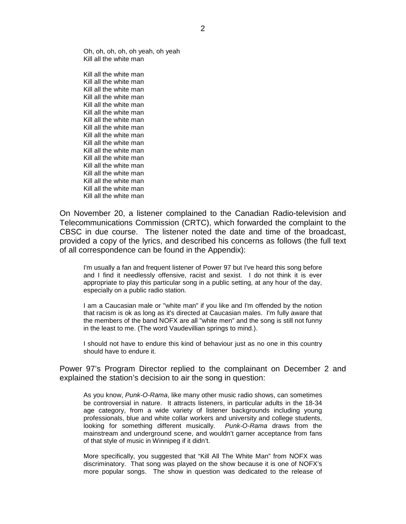Oh, oh, oh, oh, oh yeah, oh yeah Kill all the white man

Kill all the white man Kill all the white man Kill all the white man Kill all the white man Kill all the white man Kill all the white man Kill all the white man Kill all the white man Kill all the white man Kill all the white man Kill all the white man Kill all the white man Kill all the white man Kill all the white man Kill all the white man Kill all the white man Kill all the white man

On November 20, a listener complained to the Canadian Radio-television and Telecommunications Commission (CRTC), which forwarded the complaint to the CBSC in due course. The listener noted the date and time of the broadcast, provided a copy of the lyrics, and described his concerns as follows (the full text of all correspondence can be found in the Appendix):

I'm usually a fan and frequent listener of Power 97 but I've heard this song before and I find it needlessly offensive, racist and sexist. I do not think it is ever appropriate to play this particular song in a public setting, at any hour of the day, especially on a public radio station.

I am a Caucasian male or "white man" if you like and I'm offended by the notion that racism is ok as long as it's directed at Caucasian males. I'm fully aware that the members of the band NOFX are all "white men" and the song is still not funny in the least to me. (The word Vaudevillian springs to mind.).

I should not have to endure this kind of behaviour just as no one in this country should have to endure it.

Power 97's Program Director replied to the complainant on December 2 and explained the station's decision to air the song in question:

As you know, *Punk-O-Rama*, like many other music radio shows, can sometimes be controversial in nature. It attracts listeners, in particular adults in the 18-34 age category, from a wide variety of listener backgrounds including young professionals, blue and white collar workers and university and college students, looking for something different musically. *Punk-O-Rama* draws from the mainstream and underground scene, and wouldn't garner acceptance from fans of that style of music in Winnipeg if it didn't.

More specifically, you suggested that "Kill All The White Man" from NOFX was discriminatory. That song was played on the show because it is one of NOFX's more popular songs. The show in question was dedicated to the release of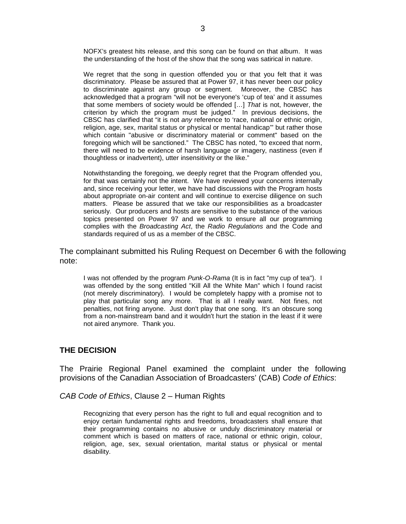NOFX's greatest hits release, and this song can be found on that album. It was the understanding of the host of the show that the song was satirical in nature.

We regret that the song in question offended you or that you felt that it was discriminatory. Please be assured that at Power 97, it has never been our policy to discriminate against any group or segment. Moreover, the CBSC has acknowledged that a program "will not be everyone's 'cup of tea' and it assumes that some members of society would be offended […] *That* is not, however, the criterion by which the program must be judged." In previous decisions, the CBSC has clarified that "it is not *any* reference to 'race, national or ethnic origin, religion, age, sex, marital status or physical or mental handicap'" but rather those which contain "abusive or discriminatory material or comment" based on the foregoing which will be sanctioned." The CBSC has noted, "to exceed that norm, there will need to be evidence of harsh language or imagery, nastiness (even if thoughtless or inadvertent), utter insensitivity or the like."

Notwithstanding the foregoing, we deeply regret that the Program offended you, for that was certainly not the intent. We have reviewed your concerns internally and, since receiving your letter, we have had discussions with the Program hosts about appropriate on-air content and will continue to exercise diligence on such matters. Please be assured that we take our responsibilities as a broadcaster seriously. Our producers and hosts are sensitive to the substance of the various topics presented on Power 97 and we work to ensure all our programming complies with the *Broadcasting Act*, the *Radio Regulations* and the Code and standards required of us as a member of the CBSC.

The complainant submitted his Ruling Request on December 6 with the following note:

I was not offended by the program *Punk-O-Rama* (It is in fact "my cup of tea"). I was offended by the song entitled "Kill All the White Man" which I found racist (not merely discriminatory). I would be completely happy with a promise not to play that particular song any more. That is all I really want. Not fines, not penalties, not firing anyone. Just don't play that one song. It's an obscure song from a non-mainstream band and it wouldn't hurt the station in the least if it were not aired anymore. Thank you.

### **THE DECISION**

The Prairie Regional Panel examined the complaint under the following provisions of the Canadian Association of Broadcasters' (CAB) *Code of Ethics*:

*CAB Code of Ethics*, Clause 2 – Human Rights

Recognizing that every person has the right to full and equal recognition and to enjoy certain fundamental rights and freedoms, broadcasters shall ensure that their programming contains no abusive or unduly discriminatory material or comment which is based on matters of race, national or ethnic origin, colour, religion, age, sex, sexual orientation, marital status or physical or mental disability.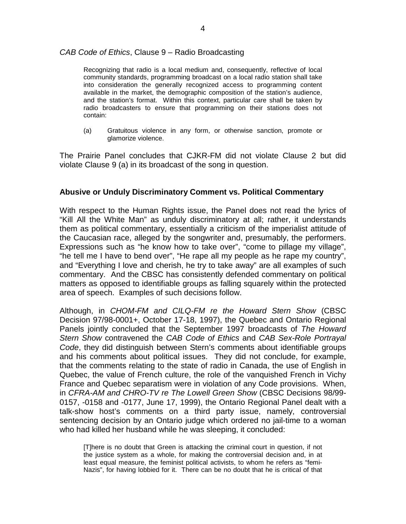### *CAB Code of Ethics*, Clause 9 – Radio Broadcasting

Recognizing that radio is a local medium and, consequently, reflective of local community standards, programming broadcast on a local radio station shall take into consideration the generally recognized access to programming content available in the market, the demographic composition of the station's audience, and the station's format. Within this context, particular care shall be taken by radio broadcasters to ensure that programming on their stations does not contain:

(a) Gratuitous violence in any form, or otherwise sanction, promote or glamorize violence.

The Prairie Panel concludes that CJKR-FM did not violate Clause 2 but did violate Clause 9 (a) in its broadcast of the song in question.

### **Abusive or Unduly Discriminatory Comment vs. Political Commentary**

With respect to the Human Rights issue, the Panel does not read the lyrics of "Kill All the White Man" as unduly discriminatory at all; rather, it understands them as political commentary, essentially a criticism of the imperialist attitude of the Caucasian race, alleged by the songwriter and, presumably, the performers. Expressions such as "he know how to take over", "come to pillage my village", "he tell me I have to bend over", "He rape all my people as he rape my country", and "Everything I love and cherish, he try to take away" are all examples of such commentary. And the CBSC has consistently defended commentary on political matters as opposed to identifiable groups as falling squarely within the protected area of speech. Examples of such decisions follow.

Although, in *CHOM-FM and CILQ-FM re the Howard Stern Show* (CBSC Decision 97/98-0001+, October 17-18, 1997), the Quebec and Ontario Regional Panels jointly concluded that the September 1997 broadcasts of *The Howard Stern Show* contravened the *CAB Code of Ethics* and *CAB Sex-Role Portrayal Code*, they did distinguish between Stern's comments about identifiable groups and his comments about political issues. They did not conclude, for example, that the comments relating to the state of radio in Canada, the use of English in Quebec, the value of French culture, the role of the vanquished French in Vichy France and Quebec separatism were in violation of any Code provisions. When, in *CFRA-AM and CHRO-TV re The Lowell Green Show* (CBSC Decisions 98/99- 0157, -0158 and -0177, June 17, 1999), the Ontario Regional Panel dealt with a talk-show host's comments on a third party issue, namely, controversial sentencing decision by an Ontario judge which ordered no jail-time to a woman who had killed her husband while he was sleeping, it concluded:

[T]here is no doubt that Green is attacking the criminal court in question, if not the justice system as a whole, for making the controversial decision and, in at least equal measure, the feminist political activists, to whom he refers as "femi-Nazis", for having lobbied for it. There can be no doubt that he is critical of that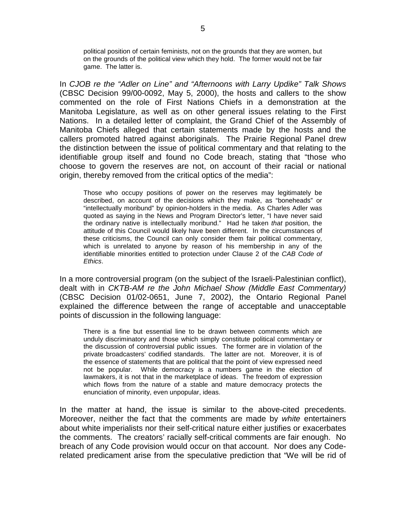political position of certain feminists, not on the grounds that they are women, but on the grounds of the political view which they hold. The former would not be fair game. The latter is.

In *CJOB re the "Adler on Line" and "Afternoons with Larry Updike" Talk Shows* (CBSC Decision 99/00-0092, May 5, 2000), the hosts and callers to the show commented on the role of First Nations Chiefs in a demonstration at the Manitoba Legislature, as well as on other general issues relating to the First Nations. In a detailed letter of complaint, the Grand Chief of the Assembly of Manitoba Chiefs alleged that certain statements made by the hosts and the callers promoted hatred against aboriginals. The Prairie Regional Panel drew the distinction between the issue of political commentary and that relating to the identifiable group itself and found no Code breach, stating that "those who choose to govern the reserves are not, on account of their racial or national origin, thereby removed from the critical optics of the media":

Those who occupy positions of power on the reserves may legitimately be described, on account of the decisions which they make, as "boneheads" or "intellectually moribund" by opinion-holders in the media. As Charles Adler was quoted as saying in the News and Program Director's letter, "I have never said the ordinary native is intellectually moribund." Had he taken *that* position, the attitude of this Council would likely have been different. In the circumstances of these criticisms, the Council can only consider them fair political commentary, which is unrelated to anyone by reason of his membership in any of the identifiable minorities entitled to protection under Clause 2 of the *CAB Code of Ethics*.

In a more controversial program (on the subject of the Israeli-Palestinian conflict), dealt with in *CKTB-AM re the John Michael Show (Middle East Commentary)* (CBSC Decision 01/02-0651, June 7, 2002), the Ontario Regional Panel explained the difference between the range of acceptable and unacceptable points of discussion in the following language:

There is a fine but essential line to be drawn between comments which are unduly discriminatory and those which simply constitute political commentary or the discussion of controversial public issues. The former are in violation of the private broadcasters' codified standards. The latter are not. Moreover, it is of the essence of statements that are political that the point of view expressed need not be popular. While democracy is a numbers game in the election of lawmakers, it is not that in the marketplace of ideas. The freedom of expression which flows from the nature of a stable and mature democracy protects the enunciation of minority, even unpopular, ideas.

In the matter at hand, the issue is similar to the above-cited precedents. Moreover, neither the fact that the comments are made by *white* entertainers about white imperialists nor their self-critical nature either justifies or exacerbates the comments. The creators' racially self-critical comments are fair enough. No breach of any Code provision would occur on that account. Nor does any Coderelated predicament arise from the speculative prediction that "We will be rid of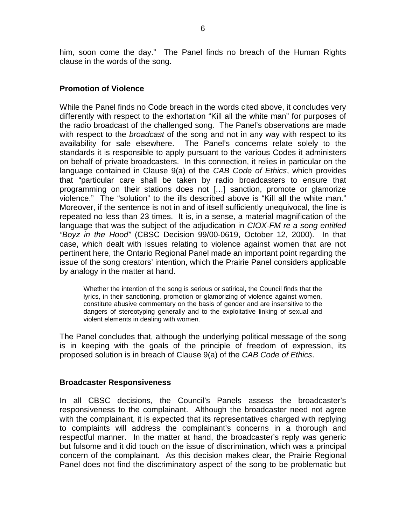him, soon come the day." The Panel finds no breach of the Human Rights clause in the words of the song.

# **Promotion of Violence**

While the Panel finds no Code breach in the words cited above, it concludes very differently with respect to the exhortation "Kill all the white man" for purposes of the radio broadcast of the challenged song. The Panel's observations are made with respect to the *broadcast* of the song and not in any way with respect to its availability for sale elsewhere. The Panel's concerns relate solely to the standards it is responsible to apply pursuant to the various Codes it administers on behalf of private broadcasters. In this connection, it relies in particular on the language contained in Clause 9(a) of the *CAB Code of Ethics*, which provides that "particular care shall be taken by radio broadcasters to ensure that programming on their stations does not […] sanction, promote or glamorize violence." The "solution" to the ills described above is "Kill all the white man." Moreover, if the sentence is not in and of itself sufficiently unequivocal, the line is repeated no less than 23 times. It is, in a sense, a material magnification of the language that was the subject of the adjudication in *CIOX-FM re a song entitled "Boyz in the Hood"* (CBSC Decision 99/00-0619, October 12, 2000). In that case, which dealt with issues relating to violence against women that are not pertinent here, the Ontario Regional Panel made an important point regarding the issue of the song creators' intention, which the Prairie Panel considers applicable by analogy in the matter at hand.

Whether the intention of the song is serious or satirical, the Council finds that the lyrics, in their sanctioning, promotion or glamorizing of violence against women, constitute abusive commentary on the basis of gender and are insensitive to the dangers of stereotyping generally and to the exploitative linking of sexual and violent elements in dealing with women.

The Panel concludes that, although the underlying political message of the song is in keeping with the goals of the principle of freedom of expression, its proposed solution is in breach of Clause 9(a) of the *CAB Code of Ethics*.

### **Broadcaster Responsiveness**

In all CBSC decisions, the Council's Panels assess the broadcaster's responsiveness to the complainant. Although the broadcaster need not agree with the complainant, it is expected that its representatives charged with replying to complaints will address the complainant's concerns in a thorough and respectful manner. In the matter at hand, the broadcaster's reply was generic but fulsome and it did touch on the issue of discrimination, which was a principal concern of the complainant. As this decision makes clear, the Prairie Regional Panel does not find the discriminatory aspect of the song to be problematic but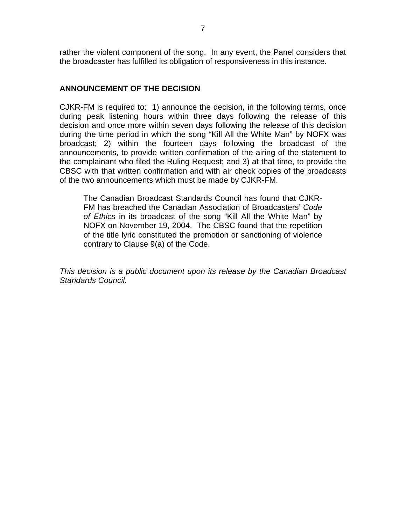rather the violent component of the song. In any event, the Panel considers that the broadcaster has fulfilled its obligation of responsiveness in this instance.

# **ANNOUNCEMENT OF THE DECISION**

CJKR-FM is required to: 1) announce the decision, in the following terms, once during peak listening hours within three days following the release of this decision and once more within seven days following the release of this decision during the time period in which the song "Kill All the White Man" by NOFX was broadcast; 2) within the fourteen days following the broadcast of the announcements, to provide written confirmation of the airing of the statement to the complainant who filed the Ruling Request; and 3) at that time, to provide the CBSC with that written confirmation and with air check copies of the broadcasts of the two announcements which must be made by CJKR-FM.

The Canadian Broadcast Standards Council has found that CJKR-FM has breached the Canadian Association of Broadcasters' *Code of Ethics* in its broadcast of the song "Kill All the White Man" by NOFX on November 19, 2004. The CBSC found that the repetition of the title lyric constituted the promotion or sanctioning of violence contrary to Clause 9(a) of the Code.

*This decision is a public document upon its release by the Canadian Broadcast Standards Council.*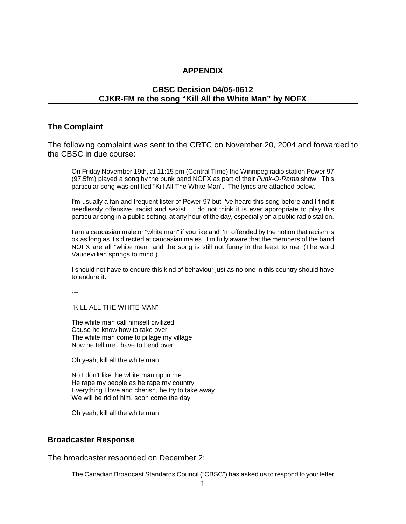### **APPENDIX**

# **CBSC Decision 04/05-0612 CJKR-FM re the song "Kill All the White Man" by NOFX**

### **The Complaint**

The following complaint was sent to the CRTC on November 20, 2004 and forwarded to the CBSC in due course:

On Friday November 19th, at 11:15 pm (Central Time) the Winnipeg radio station Power 97 (97.5fm) played a song by the punk band NOFX as part of their *Punk-O-Rama* show. This particular song was entitled "Kill All The White Man". The lyrics are attached below.

I'm usually a fan and frequent lister of Power 97 but I've heard this song before and I find it needlessly offensive, racist and sexist. I do not think it is ever appropriate to play this particular song in a public setting, at any hour of the day, especially on a public radio station.

I am a caucasian male or "white man" if you like and I'm offended by the notion that racism is ok as long as it's directed at caucasian males. I'm fully aware that the members of the band NOFX are all "white men" and the song is still not funny in the least to me. (The word Vaudevillian springs to mind.).

I should not have to endure this kind of behaviour just as no one in this country should have to endure it.

---

"KILL ALL THE WHITE MAN"

The white man call himself civilized Cause he know how to take over The white man come to pillage my village Now he tell me I have to bend over

Oh yeah, kill all the white man

No I don't like the white man up in me He rape my people as he rape my country Everything I love and cherish, he try to take away We will be rid of him, soon come the day

Oh yeah, kill all the white man

#### **Broadcaster Response**

The broadcaster responded on December 2:

The Canadian Broadcast Standards Council ("CBSC") has asked us to respond to your letter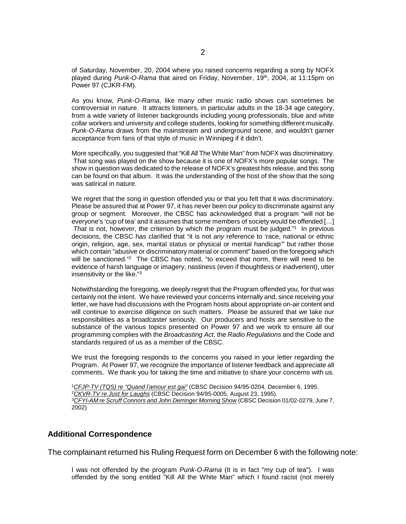of Saturday, November, 20, 2004 where you raised concerns regarding a song by NOFX played during *Punk-O-Rama* that aired on Friday, November, 19th, 2004, at 11:15pm on Power 97 (CJKR-FM).

As you know, *Punk-O-Rama*, like many other music radio shows can sometimes be controversial in nature. It attracts listeners, in particular adults in the 18-34 age category, from a wide variety of listener backgrounds including young professionals, blue and white collar workers and university and college students, looking for something different musically. *Punk-O-Rama* draws from the mainstream and underground scene, and wouldn't garner acceptance from fans of that style of music in Winnipeg if it didn't.

More specifically, you suggested that "Kill All The White Man" from NOFX was discriminatory. That song was played on the show because it is one of NOFX's more popular songs. The show in question was dedicated to the release of NOFX's greatest hits release, and this song can be found on that album. It was the understanding of the host of the show that the song was satirical in nature.

We regret that the song in question offended you or that you felt that it was discriminatory. Please be assured that at Power 97, it has never been our policy to discriminate against any group or segment. Moreover, the CBSC has acknowledged that a program "will not be everyone's 'cup of tea' and it assumes that some members of society would be offended […] *That* is not, however, the criterion by which the program must be judged."<sup>1</sup> In previous decisions, the CBSC has clarified that "it is not *any* reference to 'race, national or ethnic origin, religion, age, sex, marital status or physical or mental handicap'" but rather those which contain "abusive or discriminatory material or comment" based on the foregoing which will be sanctioned."2 The CBSC has noted, "to exceed that norm, there will need to be evidence of harsh language or imagery, nastiness (even if thoughtless or inadvertent), utter insensitivity or the like."3

Notwithstanding the foregoing, we deeply regret that the Program offended you, for that was certainly not the intent. We have reviewed your concerns internally and, since receiving your letter, we have had discussions with the Program hosts about appropriate on-air content and will continue to exercise diligence on such matters. Please be assured that we take our responsibilities as a broadcaster seriously. Our producers and hosts are sensitive to the substance of the various topics presented on Power 97 and we work to ensure all our programming complies with the *Broadcasting Act*, the *Radio Regulations* and the Code and standards required of us as a member of the CBSC.

We trust the foregoing responds to the concerns you raised in your letter regarding the Program. At Power 97, we recognize the importance of listener feedback and appreciate all comments. We thank you for taking the time and initiative to share your concerns with us.

```
1CFJP-TV (TQS) re "Quand l'amour est gai" (CBSC Decision 94/95-0204, December 6, 1995. 2CKVR-TV re Just for Laughs (CBSC Decision 94/95-0005, August 23, 1995). 3CFYI-AM re Scruff Connors and John Derringer Morning Show (CBSC Decision 01/02-0279, June 7, 
2002
```
### **Additional Correspondence**

The complainant returned his Ruling Request form on December 6 with the following note:

I was not offended by the program *Punk-O-Rama* (It is in fact "my cup of tea"). I was offended by the song entitled "Kill All the White Man" which I found racist (not merely